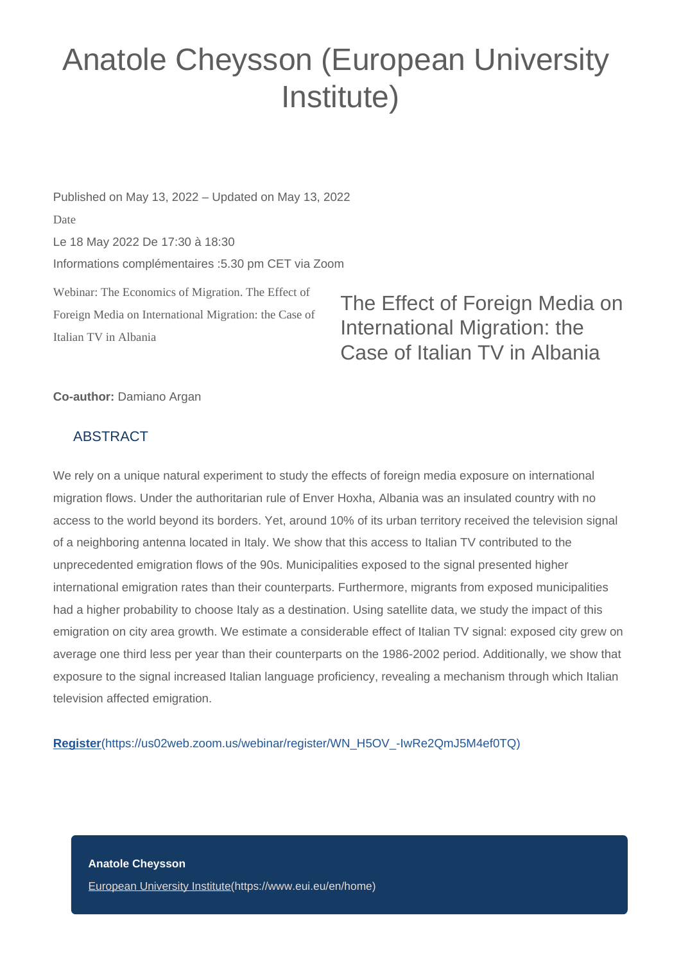## Anatole Cheysson (European University Institute)

Webinar: The Economics of Migration. The Effect of Foreign Media on International Migration: the Case of Published on May 13, 2022 – Updated on May 13, 2022 Date Le 18 May 2022 De 17:30 à 18:30 Informations complémentaires :5.30 pm CET via Zoom

The Effect of Foreign Media on International Migration: the Case of Italian TV in Albania

## **Co-author:** Damiano Argan

## ABSTRACT

Italian TV in Albania

We rely on a unique natural experiment to study the effects of foreign media exposure on international migration flows. Under the authoritarian rule of Enver Hoxha, Albania was an insulated country with no access to the world beyond its borders. Yet, around 10% of its urban territory received the television signal of a neighboring antenna located in Italy. We show that this access to Italian TV contributed to the unprecedented emigration flows of the 90s. Municipalities exposed to the signal presented higher international emigration rates than their counterparts. Furthermore, migrants from exposed municipalities had a higher probability to choose Italy as a destination. Using satellite data, we study the impact of this emigration on city area growth. We estimate a considerable effect of Italian TV signal: exposed city grew on average one third less per year than their counterparts on the 1986-2002 period. Additionally, we show that exposure to the signal increased Italian language proficiency, revealing a mechanism through which Italian television affected emigration.

**Register**[\(https://us02web.zoom.us/webinar/register/WN\\_H5OV\\_-IwRe2QmJ5M4ef0TQ\)](https://us02web.zoom.us/webinar/register/WN_H5OV_-IwRe2QmJ5M4ef0TQ)

**Anatole Cheysson** [European University Institute\(https://www.eui.eu/en/home\)](https://www.eui.eu/en/home)